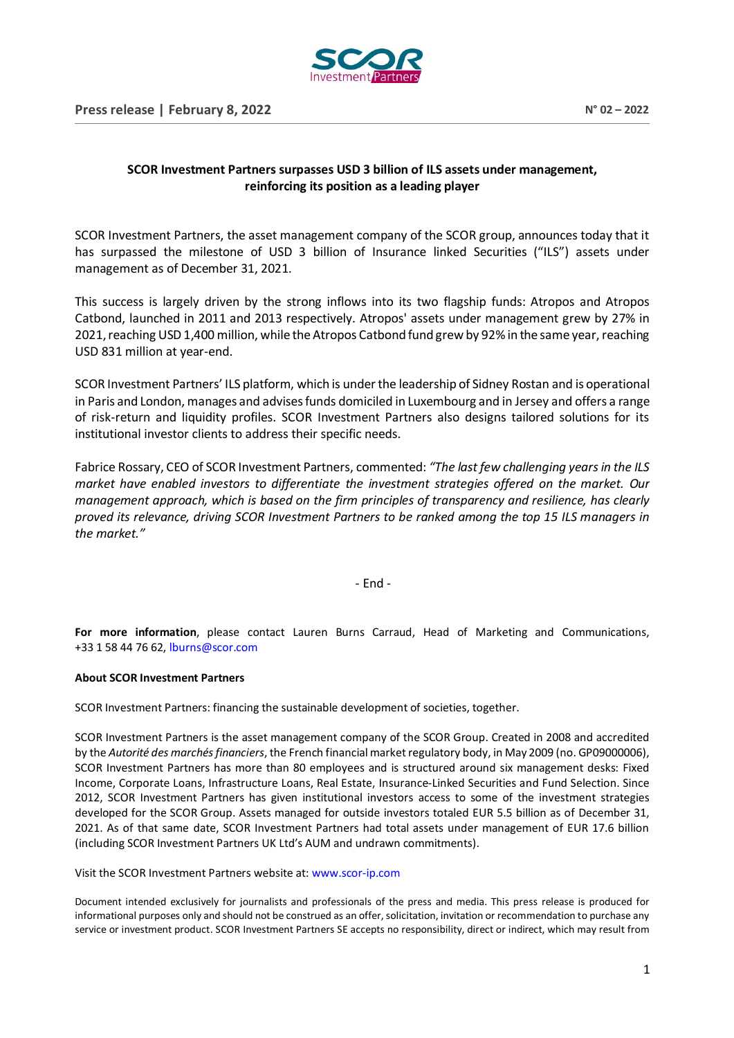

## **SCOR Investment Partners surpasses USD 3 billion of ILS assets under management, reinforcing its position as a leading player**

SCOR Investment Partners, the asset management company of the SCOR group, announces today that it has surpassed the milestone of USD 3 billion of Insurance linked Securities ("ILS") assets under management as of December 31, 2021.

This success is largely driven by the strong inflows into its two flagship funds: Atropos and Atropos Catbond, launched in 2011 and 2013 respectively. Atropos' assets under management grew by 27% in 2021, reaching USD 1,400 million, while the Atropos Catbond fund grew by 92% in the same year, reaching USD 831 million at year-end.

SCOR Investment Partners' ILS platform, which is under the leadership of Sidney Rostan and is operational in Paris and London, manages and advises funds domiciled in Luxembourg and in Jersey and offers a range of risk-return and liquidity profiles. SCOR Investment Partners also designs tailored solutions for its institutional investor clients to address their specific needs.

Fabrice Rossary, CEO of SCOR Investment Partners, commented: *"The last few challenging years in the ILS market have enabled investors to differentiate the investment strategies offered on the market. Our management approach, which is based on the firm principles of transparency and resilience, has clearly proved its relevance, driving SCOR Investment Partners to be ranked among the top 15 ILS managers in the market."*

- End -

**For more information**, please contact Lauren Burns Carraud, Head of Marketing and Communications, +33 1 58 44 76 62, [lburns@scor.com](mailto:lburns@scor.com)

## **About SCOR Investment Partners**

SCOR Investment Partners: financing the sustainable development of societies, together.

SCOR Investment Partners is the asset management company of the SCOR Group. Created in 2008 and accredited by the *Autorité des marchés financiers*, the French financial market regulatory body, in May 2009 (no. GP09000006), SCOR Investment Partners has more than 80 employees and is structured around six management desks: Fixed Income, Corporate Loans, Infrastructure Loans, Real Estate, Insurance-Linked Securities and Fund Selection. Since 2012, SCOR Investment Partners has given institutional investors access to some of the investment strategies developed for the SCOR Group. Assets managed for outside investors totaled EUR 5.5 billion as of December 31, 2021. As of that same date, SCOR Investment Partners had total assets under management of EUR 17.6 billion (including SCOR Investment Partners UK Ltd's AUM and undrawn commitments).

Visit the SCOR Investment Partners website at: [www.scor-ip.com](http://www.scor-ip.com/)

Document intended exclusively for journalists and professionals of the press and media. This press release is produced for informational purposes only and should not be construed as an offer, solicitation, invitation or recommendation to purchase any service or investment product. SCOR Investment Partners SE accepts no responsibility, direct or indirect, which may result from